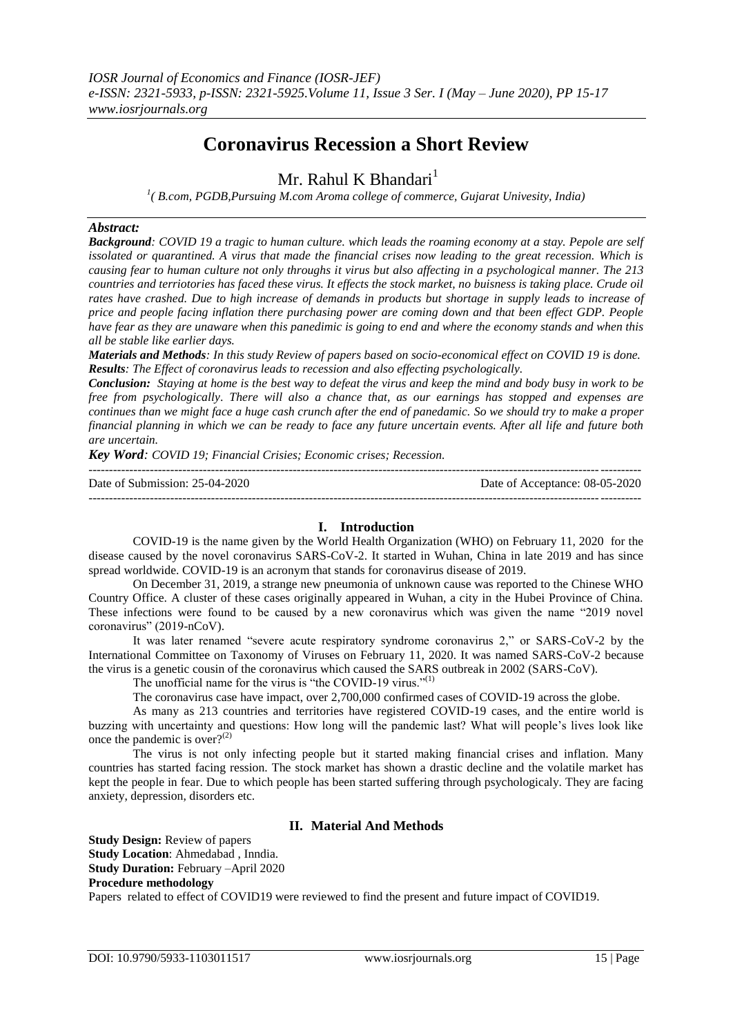# **Coronavirus Recession a Short Review**

## Mr. Rahul K Bhandari<sup>1</sup>

<sup>1</sup>(B.com, PGDB, Pursuing M.com Aroma college of commerce, Gujarat Univesity, India)

## *Abstract:*

*Background: COVID 19 a tragic to human culture. which leads the roaming economy at a stay. Pepole are self issolated or quarantined. A virus that made the financial crises now leading to the great recession. Which is causing fear to human culture not only throughs it virus but also affecting in a psychological manner. The 213 countries and terriotories has faced these virus. It effects the stock market, no buisness is taking place. Crude oil rates have crashed. Due to high increase of demands in products but shortage in supply leads to increase of price and people facing inflation there purchasing power are coming down and that been effect GDP. People have fear as they are unaware when this panedimic is going to end and where the economy stands and when this all be stable like earlier days.*

*Materials and Methods: In this study Review of papers based on socio-economical effect on COVID 19 is done. Results: The Effect of coronavirus leads to recession and also effecting psychologically.*

*Conclusion: Staying at home is the best way to defeat the virus and keep the mind and body busy in work to be free from psychologically*. *There will also a chance that, as our earnings has stopped and expenses are continues than we might face a huge cash crunch after the end of panedamic. So we should try to make a proper financial planning in which we can be ready to face any future uncertain events. After all life and future both are uncertain.* 

*Key Word: COVID 19; Financial Crisies; Economic crises; Recession.*

| Date of Submission: $25-04-2020$ | Date of Acceptance: 08-05-2020 |
|----------------------------------|--------------------------------|
|                                  |                                |

## **I. Introduction**

COVID-19 is the name given by the World Health Organization (WHO) on February 11, 2020 for the disease caused by the novel coronavirus SARS-CoV-2. It started in Wuhan, China in late 2019 and has since spread worldwide. COVID-19 is an acronym that stands for coronavirus disease of 2019.

On December 31, 2019, a strange new pneumonia of unknown cause was reported to the Chinese WHO Country Office. A cluster of these cases originally appeared in Wuhan, a city in the Hubei Province of China. These infections were found to be caused by a new coronavirus which was given the name "2019 novel coronavirus" (2019-nCoV).

It was later renamed "severe acute respiratory syndrome coronavirus 2," or SARS-CoV-2 by the International Committee on Taxonomy of Viruses on February 11, 2020. It was named SARS-CoV-2 because the virus is a genetic cousin of the coronavirus which caused the SARS outbreak in 2002 (SARS-CoV).

The unofficial name for the virus is "the COVID-19 virus."<sup>(1)</sup>

The coronavirus case have impact, over 2,700,000 confirmed cases of COVID-19 across the globe.

As many as 213 countries and territories have registered COVID-19 cases, and the entire world is buzzing with uncertainty and questions: How long will the pandemic last? What will people's lives look like once the pandemic is over? $(2)$ 

The virus is not only infecting people but it started making financial crises and inflation. Many countries has started facing ression. The stock market has shown a drastic decline and the volatile market has kept the people in fear. Due to which people has been started suffering through psychologicaly. They are facing anxiety, depression, disorders etc.

## **II. Material And Methods**

**Study Design:** Review of papers **Study Location**: Ahmedabad , Inndia. **Study Duration:** February –April 2020 **Procedure methodology**  Papers related to effect of COVID19 were reviewed to find the present and future impact of COVID19.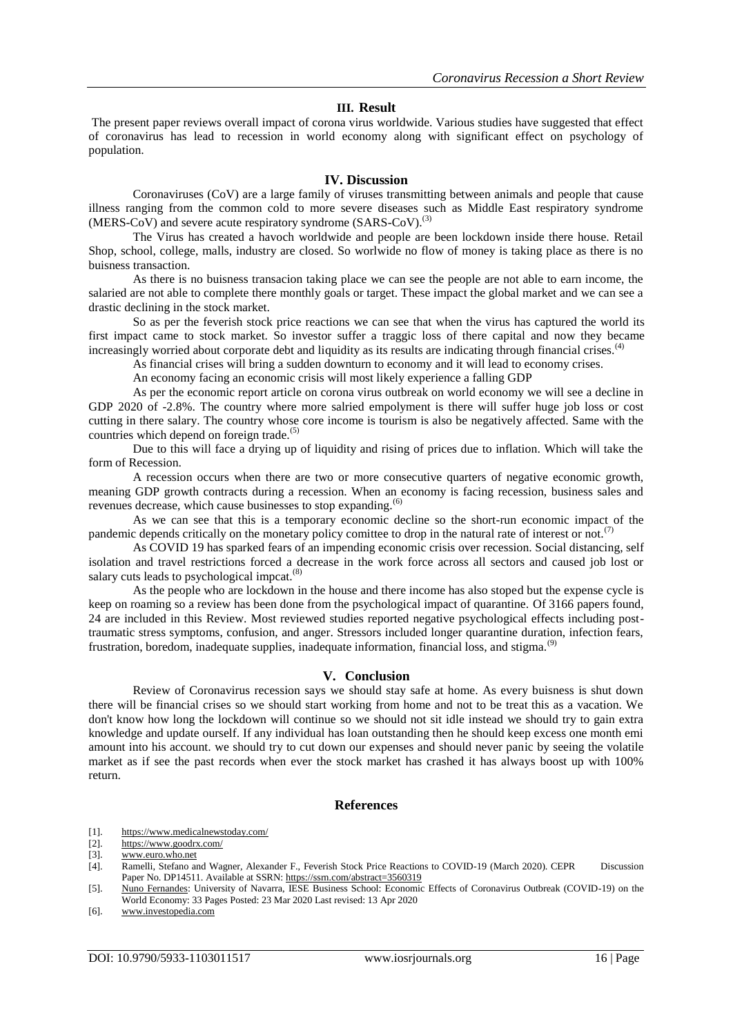#### **III. Result**

The present paper reviews overall impact of corona virus worldwide. Various studies have suggested that effect of coronavirus has lead to recession in world economy along with significant effect on psychology of population.

#### **IV. Discussion**

Coronaviruses (CoV) are a large family of viruses transmitting between animals and people that cause illness ranging from the common cold to more severe diseases such as Middle East respiratory syndrome (MERS-CoV) and severe acute respiratory syndrome  $(SARS-CoV)$ .<sup>(3)</sup>

The Virus has created a havoch worldwide and people are been lockdown inside there house. Retail Shop, school, college, malls, industry are closed. So worlwide no flow of money is taking place as there is no buisness transaction.

As there is no buisness transacion taking place we can see the people are not able to earn income, the salaried are not able to complete there monthly goals or target. These impact the global market and we can see a drastic declining in the stock market.

So as per the feverish stock price reactions we can see that when the virus has captured the world its first impact came to stock market. So investor suffer a traggic loss of there capital and now they became increasingly worried about corporate debt and liquidity as its results are indicating through financial crises.<sup>(4)</sup>

As financial crises will bring a sudden downturn to economy and it will lead to economy crises.

An economy facing an economic crisis will most likely experience a falling GDP

As per the economic report article on corona virus outbreak on world economy we will see a decline in GDP 2020 of -2.8%. The country where more salried empolyment is there will suffer huge job loss or cost cutting in there salary. The country whose core income is tourism is also be negatively affected. Same with the countries which depend on foreign trade.<sup>(5)</sup>

Due to this will face a drying up of liquidity and rising of prices due to inflation. Which will take the form of Recession.

A recession occurs when there are two or more consecutive quarters of negative economic growth, meaning GDP growth contracts during a recession. When an economy is facing recession, business sales and revenues decrease, which cause businesses to stop expanding.(6)

As we can see that this is a temporary economic decline so the short-run economic impact of the pandemic depends critically on the monetary policy comittee to drop in the natural rate of interest or not.<sup>(7)</sup>

As COVID 19 has sparked fears of an impending economic crisis over recession. Social distancing, self isolation and travel restrictions forced a decrease in the work force across all sectors and caused job lost or salary cuts leads to psychological impcat. $(8)$ 

As the people who are lockdown in the house and there income has also stoped but the expense cycle is keep on roaming so a review has been done from the psychological impact of quarantine. Of 3166 papers found, 24 are included in this Review. Most reviewed studies reported negative psychological effects including posttraumatic stress symptoms, confusion, and anger. Stressors included longer quarantine duration, infection fears, frustration, boredom, inadequate supplies, inadequate information, financial loss, and stigma.<sup>(9)</sup>

### **V. Conclusion**

Review of Coronavirus recession says we should stay safe at home. As every buisness is shut down there will be financial crises so we should start working from home and not to be treat this as a vacation. We don't know how long the lockdown will continue so we should not sit idle instead we should try to gain extra knowledge and update ourself. If any individual has loan outstanding then he should keep excess one month emi amount into his account. we should try to cut down our expenses and should never panic by seeing the volatile market as if see the past records when ever the stock market has crashed it has always boost up with 100% return.

#### **References**

- [1]. <https://www.medicalnewstoday.com/>
- [2]. <https://www.goodrx.com/>

<sup>[3].</sup> [www.euro.who.net](http://www.euro.who.net/)<br>[4]. Ramelli, Stefano are

<sup>[4].</sup> Ramelli, Stefano and Wagner, Alexander F., Feverish Stock Price Reactions to COVID-19 (March 2020). CEPR Discussion Paper No. DP14511. Available at SSRN[: https://ssrn.com/abstract=3560319](https://ssrn.com/abstract=3560319)

<sup>[5].</sup> [Nuno Fernandes:](https://papers.ssrn.com/sol3/cf_dev/AbsByAuth.cfm?per_id=302968) University of Navarra, IESE Business School: Economic Effects of Coronavirus Outbreak (COVID-19) on the World Economy: 33 Pages Posted: 23 Mar 2020 Last revised: 13 Apr 2020

<sup>[6].</sup> [www.investopedia.com](http://www.investopedia.com/)